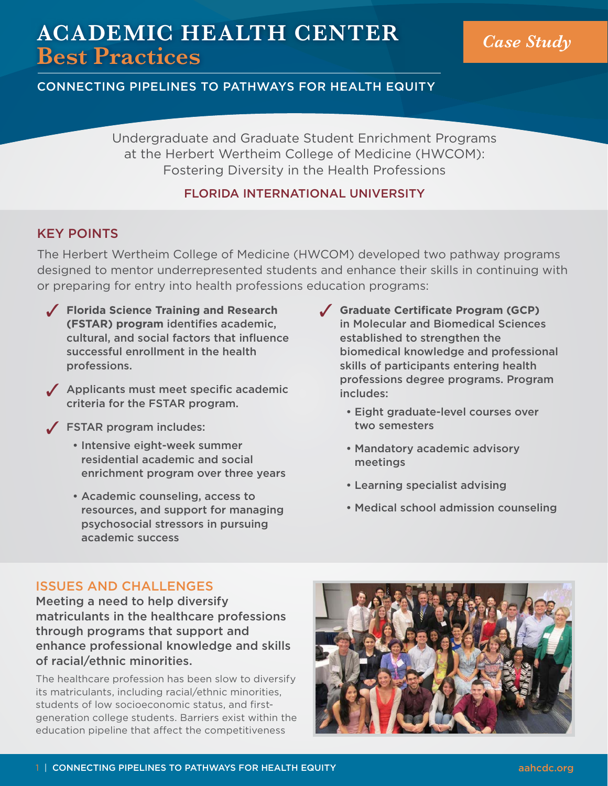# **ACADEMIC HEALTH CENTER Best Practices** *Case Study*

# CONNECTING PIPELINES TO PATHWAYS FOR HEALTH EQUITY

Undergraduate and Graduate Student Enrichment Programs at the Herbert Wertheim College of Medicine (HWCOM): Fostering Diversity in the Health Professions

# FLORIDA INTERNATIONAL UNIVERSITY

# KEY POINTS

The Herbert Wertheim College of Medicine (HWCOM) developed two pathway programs designed to mentor underrepresented students and enhance their skills in continuing with or preparing for entry into health professions education programs:

- 3 **Florida Science Training and Research (FSTAR) program** identifies academic, cultural, and social factors that influence successful enrollment in the health professions.
- $\sqrt{\phantom{a}}$  Applicants must meet specific academic criteria for the FSTAR program.
- $\sqrt{\ }$  FSTAR program includes:
	- Intensive eight-week summer residential academic and social enrichment program over three years
	- Academic counseling, access to resources, and support for managing psychosocial stressors in pursuing academic success
- 3 **Graduate Certificate Program (GCP)** in Molecular and Biomedical Sciences established to strengthen the biomedical knowledge and professional skills of participants entering health professions degree programs. Program includes:
	- Eight graduate-level courses over two semesters
	- Mandatory academic advisory meetings
	- Learning specialist advising
	- Medical school admission counseling

#### ISSUES AND CHALLENGES

Meeting a need to help diversify matriculants in the healthcare professions through programs that support and enhance professional knowledge and skills of racial/ethnic minorities.

The healthcare profession has been slow to diversify its matriculants, including racial/ethnic minorities, students of low socioeconomic status, and firstgeneration college students. Barriers exist within the education pipeline that affect the competitiveness

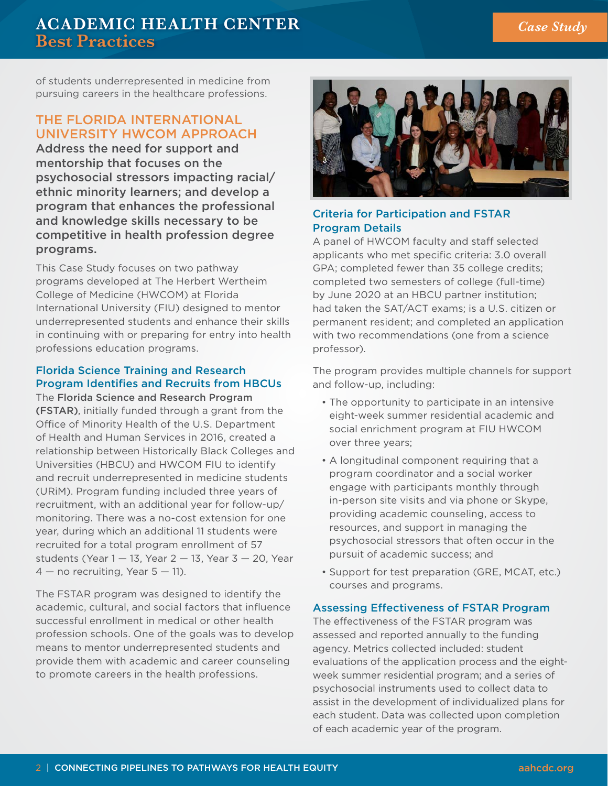# **ACADEMIC HEALTH CENTER Best Practices**

of students underrepresented in medicine from pursuing careers in the healthcare professions.

# THE FLORIDA INTERNATIONAL UNIVERSITY HWCOM APPROACH

Address the need for support and mentorship that focuses on the psychosocial stressors impacting racial/ ethnic minority learners; and develop a program that enhances the professional and knowledge skills necessary to be competitive in health profession degree programs.

This Case Study focuses on two pathway programs developed at The Herbert Wertheim College of Medicine (HWCOM) at Florida International University (FIU) designed to mentor underrepresented students and enhance their skills in continuing with or preparing for entry into health professions education programs.

### Florida Science Training and Research Program Identifies and Recruits from HBCUs

The Florida Science and Research Program (FSTAR), initially funded through a grant from the Office of Minority Health of the U.S. Department of Health and Human Services in 2016, created a relationship between Historically Black Colleges and Universities (HBCU) and HWCOM FIU to identify and recruit underrepresented in medicine students (URiM). Program funding included three years of recruitment, with an additional year for follow-up/ monitoring. There was a no-cost extension for one year, during which an additional 11 students were recruited for a total program enrollment of 57 students (Year  $1 - 13$ , Year  $2 - 13$ , Year  $3 - 20$ , Year  $4 -$  no recruiting, Year  $5 - 11$ ).

The FSTAR program was designed to identify the academic, cultural, and social factors that influence successful enrollment in medical or other health profession schools. One of the goals was to develop means to mentor underrepresented students and provide them with academic and career counseling to promote careers in the health professions.



#### Criteria for Participation and FSTAR Program Details

A panel of HWCOM faculty and staff selected applicants who met specific criteria: 3.0 overall GPA; completed fewer than 35 college credits; completed two semesters of college (full-time) by June 2020 at an HBCU partner institution; had taken the SAT/ACT exams; is a U.S. citizen or permanent resident; and completed an application with two recommendations (one from a science professor).

The program provides multiple channels for support and follow-up, including:

- The opportunity to participate in an intensive eight-week summer residential academic and social enrichment program at FIU HWCOM over three years;
- A longitudinal component requiring that a program coordinator and a social worker engage with participants monthly through in-person site visits and via phone or Skype, providing academic counseling, access to resources, and support in managing the psychosocial stressors that often occur in the pursuit of academic success; and
- Support for test preparation (GRE, MCAT, etc.) courses and programs.

#### Assessing Effectiveness of FSTAR Program

The effectiveness of the FSTAR program was assessed and reported annually to the funding agency. Metrics collected included: student evaluations of the application process and the eightweek summer residential program; and a series of psychosocial instruments used to collect data to assist in the development of individualized plans for each student. Data was collected upon completion of each academic year of the program.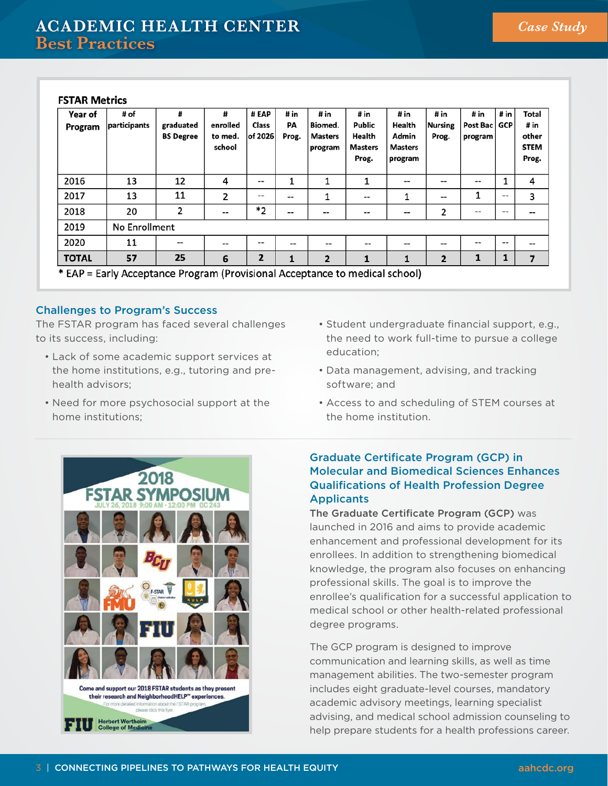#### **FSTAR Metrics**

| Year of<br>Program | # of<br>participants                                                                        | #<br>graduated<br><b>BS Degree</b> | #<br>enrolled<br>to med.<br>school | # EAP<br>Class<br>of 2026 | # in<br>PA<br>Prog. | # in<br>Biomed.<br><b>Masters</b><br>program | # in<br>Public<br>Health<br><b>Masters</b><br>Prog. | # in<br>Health<br>Admin<br><b>Masters</b><br>program | # in<br>Nursing<br>Prog. | # in<br>Post Bac   GCP<br>program | # in              | Total<br># in<br>other<br><b>STEM</b><br>Prog. |
|--------------------|---------------------------------------------------------------------------------------------|------------------------------------|------------------------------------|---------------------------|---------------------|----------------------------------------------|-----------------------------------------------------|------------------------------------------------------|--------------------------|-----------------------------------|-------------------|------------------------------------------------|
| 2016               | 13                                                                                          | 12                                 | 4                                  | $-$                       | 1                   |                                              |                                                     | --                                                   | $- -$                    | $- -$                             |                   | 4                                              |
| 2017               | 13                                                                                          | 11                                 | 2                                  | --                        | $-$                 |                                              | --                                                  | 1                                                    | $- -$                    | 1                                 | --                | 3                                              |
| 2018               | 20                                                                                          | 2                                  | --                                 | $*_{2}$                   | --                  | --                                           | --                                                  | --                                                   | 2                        | $- -$                             | --                | --                                             |
| 2019               | No Enrollment                                                                               |                                    |                                    |                           |                     |                                              |                                                     |                                                      |                          |                                   |                   |                                                |
| 2020               | 11                                                                                          | --                                 | --                                 | $- -$                     | --                  | --                                           | --                                                  | --                                                   | $- -$                    | $- -$                             | $\qquad \qquad -$ | --                                             |
| <b>TOTAL</b>       | 57<br>$*$ FAD . Fould Accoupting a Discussion (Discussional Accoupting to the disclosure of | 25                                 | 6                                  | $\overline{2}$            | 1                   | $\overline{2}$                               | 1                                                   | 1                                                    | $\overline{2}$           | 1                                 |                   | $\overline{\phantom{a}}$                       |

\* EAP = Early Acceptance Program (Provisional Acceptance to medical school)

#### Challenges to Program's Success

The FSTAR program has faced several challenges to its success, including:

- Lack of some academic support services at the home institutions, e.g., tutoring and prehealth advisors;
- Need for more psychosocial support at the home institutions;

2018

**TARS** 



- Data management, advising, and tracking software; and
- Access to and scheduling of STEM courses at the home institution.

#### Graduate Certificate Program (GCP) in Molecular and Biomedical Sciences Enhances Qualifications of Health Profession Degree **Applicants**

The Graduate Certificate Program (GCP) was launched in 2016 and aims to provide academic enhancement and professional development for its enrollees. In addition to strengthening biomedical knowledge, the program also focuses on enhancing professional skills. The goal is to improve the enrollee's qualification for a successful application to medical school or other health-related professional degree programs.

The GCP program is designed to improve communication and learning skills, as well as time management abilities. The two-semester program includes eight graduate-level courses, mandatory academic advisory meetings, learning specialist advising, and medical school admission counseling to help prepare students for a health professions career.

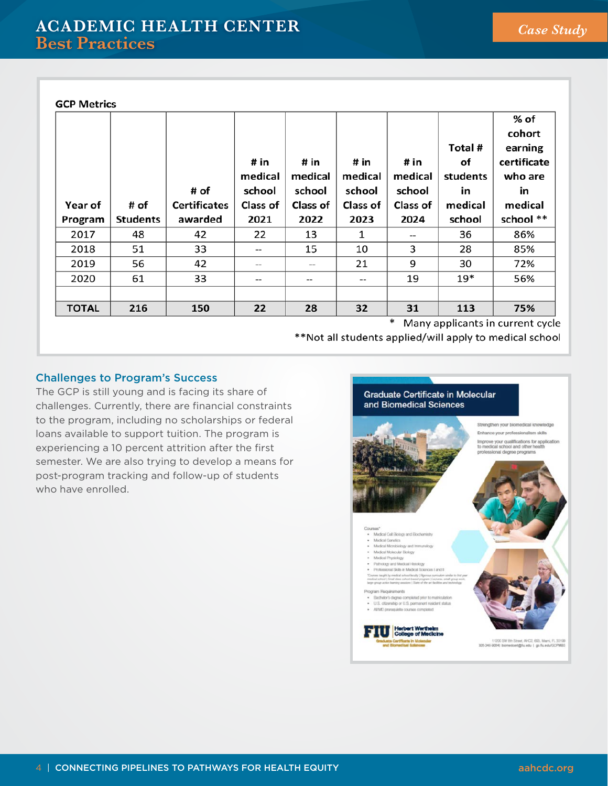| <b>GCP Metrics</b><br>Year of<br>Program<br>2017<br>2018<br>2019 | # of<br>Students<br>48<br>51<br>56 | # of<br><b>Certificates</b><br>awarded<br>42<br>33<br>42 | # in<br>medical<br>school<br>Class of<br>2021<br>22<br>$\qquad \qquad -$<br>$\hspace{0.05cm}$ – $\hspace{0.05cm}$ | # in<br>medical<br>school<br>Class of<br>2022<br>13<br>15<br>-- | # in<br>medical<br>school<br>Class of<br>2023<br>1<br>10<br>21 | # in<br>medical<br>school<br><b>Class of</b><br>2024<br>--<br>3<br>9 | Total #<br>οf<br>students<br>in<br>medical<br>school<br>36<br>28<br>30 | % of<br>cohort<br>earning<br>certificate<br>who are<br>in<br>medical<br>school **<br>86%<br>85%<br>72% |
|------------------------------------------------------------------|------------------------------------|----------------------------------------------------------|-------------------------------------------------------------------------------------------------------------------|-----------------------------------------------------------------|----------------------------------------------------------------|----------------------------------------------------------------------|------------------------------------------------------------------------|--------------------------------------------------------------------------------------------------------|
|                                                                  |                                    |                                                          |                                                                                                                   |                                                                 |                                                                |                                                                      |                                                                        |                                                                                                        |
| 2020                                                             | 61                                 | 33                                                       | $- -$                                                                                                             | --                                                              | $- -$                                                          | 19                                                                   | $19*$                                                                  | 56%                                                                                                    |
| <b>TOTAL</b>                                                     | 216                                | 150                                                      | 22                                                                                                                | 28                                                              | 32                                                             | 31                                                                   | 113                                                                    | 75%                                                                                                    |

\* Many applicants in current cycle

\*\*Not all students applied/will apply to medical school

#### Challenges to Program's Success

The GCP is still young and is facing its share of challenges. Currently, there are financial constraints to the program, including no scholarships or federal loans available to support tuition. The program is experiencing a 10 percent attrition after the first semester. We are also trying to develop a means for post-program tracking and follow-up of students who have enrolled.

**Graduate Certificate in Molecular** and Biomedical Sciences Strengthen your biomedical knowledge Enhance your professionalism skills Improve your qualifications for application<br>to medical school and other health ional degree programs - Madcai Call Biology and Biochamistry - Medical Genetics<br>- Medical Genetics<br>- Medical Microbiology and Immunology Martical Molecular Flickcov www.arenowser.com/<br>Medical Physiology<br>Polimscraf Skills in Medical Econom I and II innice all Skills in Modelis Schurcun I in<br>sight by medical solved booky ( Hiporous sum)<br>holl ( Small dasa solvet-based program ( Lecta Fachelor's degree completed prior to matriculation<br>U.S. citizenship or U.S. permanent realders status<br>All MD prenequisite courses completed Herbert Wer 11200 SW 8th Street, AHC2, 693, Marri, FL 33199<br>305-345-9054) biomedoers@fu.edu | go.fu.edu/GCPMBS rte in Moleo